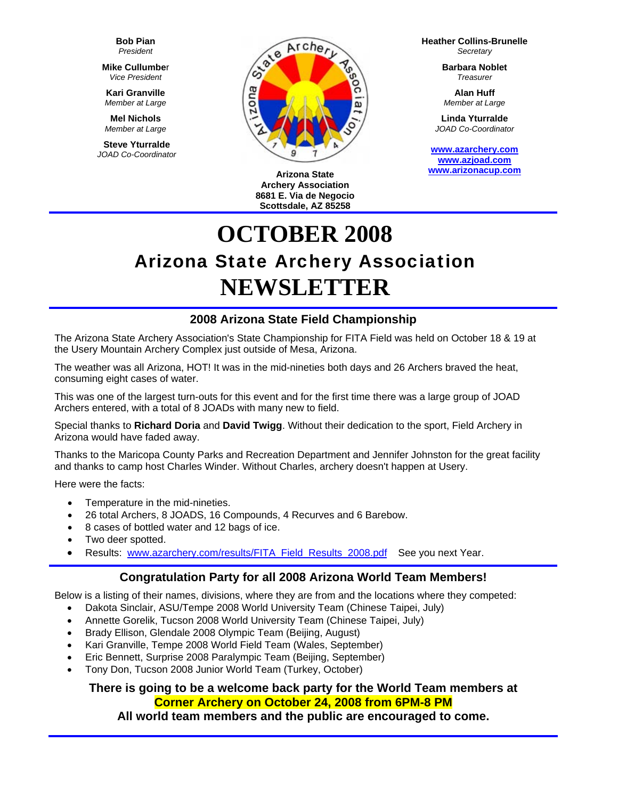**Bob Pian** *President* 

**Mike Cullumbe**r *Vice President* 

**Kari Granville**  *Member at Large*

**Mel Nichols**  *Member at Large*

**Steve Yturralde**  *JOAD Co-Coordinator* 



**Arizona State Archery Association 8681 E. Via de Negocio Scottsdale, AZ 85258**

**Heather Collins-Brunelle** *Secretary* 

> **Barbara Noblet** *Treasurer*

**Alan Huff**  *Member at Large*

**Linda Yturralde**  *JOAD Co-Coordinator* 

**[www.azarchery.com](http://www.azarchery.com/) [www.azjoad.com](http://www.azjoad.com/)  [www.arizonacup.com](http://www.arizonacup.com/)**

# **OCTOBER 2008**  Arizona State Archery Association **NEWSLETTER**

# **2008 Arizona State Field Championship**

The Arizona State Archery Association's State Championship for FITA Field was held on October 18 & 19 at the Usery Mountain Archery Complex just outside of Mesa, Arizona.

The weather was all Arizona, HOT! It was in the mid-nineties both days and 26 Archers braved the heat, consuming eight cases of water.

This was one of the largest turn-outs for this event and for the first time there was a large group of JOAD Archers entered, with a total of 8 JOADs with many new to field.

Special thanks to **Richard Doria** and **David Twigg**. Without their dedication to the sport, Field Archery in Arizona would have faded away.

Thanks to the Maricopa County Parks and Recreation Department and Jennifer Johnston for the great facility and thanks to camp host Charles Winder. Without Charles, archery doesn't happen at Usery.

Here were the facts:

- Temperature in the mid-nineties.
- 26 total Archers, 8 JOADS, 16 Compounds, 4 Recurves and 6 Barebow.
- 8 cases of bottled water and 12 bags of ice.
- Two deer spotted.
- Results: [www.azarchery.com/results/FITA\\_Field\\_Results\\_2008.pdf](http://www.azarchery.com/results/FITA_Field_Results_2008.pdf) See you next Year.

## **Congratulation Party for all 2008 Arizona World Team Members!**

Below is a listing of their names, divisions, where they are from and the locations where they competed:

- Dakota Sinclair, ASU/Tempe 2008 World University Team (Chinese Taipei, July)
- Annette Gorelik, Tucson 2008 World University Team (Chinese Taipei, July)
- Brady Ellison, Glendale 2008 Olympic Team (Beijing, August)
- Kari Granville, Tempe 2008 World Field Team (Wales, September)
- Eric Bennett, Surprise 2008 Paralympic Team (Beijing, September)
- Tony Don, Tucson 2008 Junior World Team (Turkey, October)

## **There is going to be a welcome back party for the World Team members at Corner Archery on October 24, 2008 from 6PM-8 PM**

**All world team members and the public are encouraged to come.**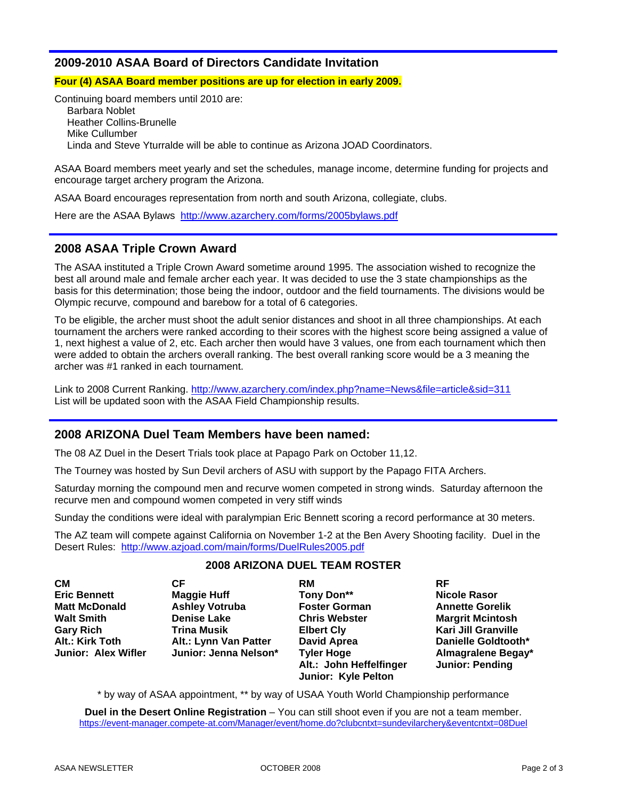## **2009-2010 ASAA Board of Directors Candidate Invitation**

**Four (4) ASAA Board member positions are up for election in early 2009.** 

Continuing board members until 2010 are: Barbara Noblet Heather Collins-Brunelle Mike Cullumber Linda and Steve Yturralde will be able to continue as Arizona JOAD Coordinators.

ASAA Board members meet yearly and set the schedules, manage income, determine funding for projects and encourage target archery program the Arizona.

ASAA Board encourages representation from north and south Arizona, collegiate, clubs.

Here are the ASAA Bylaws <http://www.azarchery.com/forms/2005bylaws.pdf>

## **2008 ASAA Triple Crown Award**

The ASAA instituted a Triple Crown Award sometime around 1995. The association wished to recognize the best all around male and female archer each year. It was decided to use the 3 state championships as the basis for this determination; those being the indoor, outdoor and the field tournaments. The divisions would be Olympic recurve, compound and barebow for a total of 6 categories.

To be eligible, the archer must shoot the adult senior distances and shoot in all three championships. At each tournament the archers were ranked according to their scores with the highest score being assigned a value of 1, next highest a value of 2, etc. Each archer then would have 3 values, one from each tournament which then were added to obtain the archers overall ranking. The best overall ranking score would be a 3 meaning the archer was #1 ranked in each tournament.

Link to 2008 Current Ranking. <http://www.azarchery.com/index.php?name=News&file=article&sid=311> List will be updated soon with the ASAA Field Championship results.

## **2008 ARIZONA Duel Team Members have been named:**

The 08 AZ Duel in the Desert Trials took place at Papago Park on October 11,12.

The Tourney was hosted by Sun Devil archers of ASU with support by the Papago FITA Archers.

Saturday morning the compound men and recurve women competed in strong winds. Saturday afternoon the recurve men and compound women competed in very stiff winds

Sunday the conditions were ideal with paralympian Eric Bennett scoring a record performance at 30 meters.

The AZ team will compete against California on November 1-2 at the Ben Avery Shooting facility. Duel in the Desert Rules: <http://www.azjoad.com/main/forms/DuelRules2005.pdf>

| <b>CM</b>                  | СF                    | RM                      | <b>RF</b>                  |
|----------------------------|-----------------------|-------------------------|----------------------------|
| <b>Eric Bennett</b>        | <b>Maggie Huff</b>    | Tony Don**              | <b>Nicole Rasor</b>        |
| <b>Matt McDonald</b>       | <b>Ashley Votruba</b> | <b>Foster Gorman</b>    | <b>Annette Gorelik</b>     |
| <b>Walt Smith</b>          | <b>Denise Lake</b>    | <b>Chris Webster</b>    | <b>Margrit Mcintosh</b>    |
| <b>Gary Rich</b>           | <b>Trina Musik</b>    | <b>Elbert Cly</b>       | <b>Kari Jill Granville</b> |
| Alt.: Kirk Toth            | Alt.: Lynn Van Patter | <b>David Aprea</b>      | Danielle Goldtooth*        |
| <b>Junior: Alex Wifler</b> | Junior: Jenna Nelson* | <b>Tyler Hoge</b>       | Almagralene Begay*         |
|                            |                       | Alt.: John Heffelfinger | <b>Junior: Pending</b>     |
|                            |                       | Junior: Kyle Pelton     |                            |

#### **2008 ARIZONA DUEL TEAM ROSTER**

\* by way of ASAA appointment, \*\* by way of USAA Youth World Championship performance

**Duel in the Desert Online Registration** – You can still shoot even if you are not a team member. <https://event-manager.compete-at.com/Manager/event/home.do?clubcntxt=sundevilarchery&eventcntxt=08Duel>